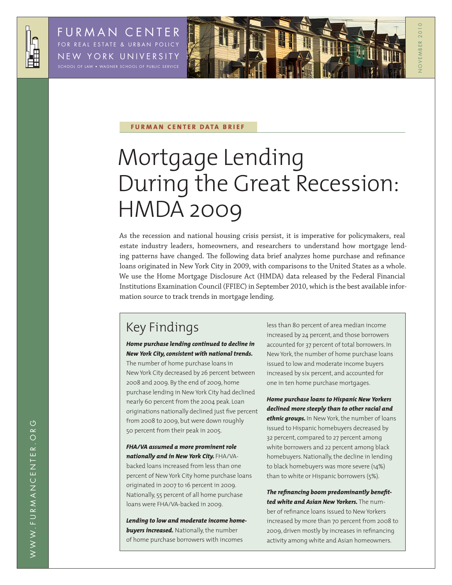



N O V E M B E R 2 0 1 0

OVEMBER 2010

#### **FURMAN CENTER DATA BRIEF**

# Mortgage Lending During the Great Recession: HMDA 2009

As the recession and national housing crisis persist, it is imperative for policymakers, real estate industry leaders, homeowners, and researchers to understand how mortgage lending patterns have changed. The following data brief analyzes home purchase and refinance loans originated in New York City in 2009, with comparisons to the United States as a whole. We use the Home Mortgage Disclosure Act (HMDA) data released by the Federal Financial Institutions Examination Council (FFIEC) in September 2010, which is the best available information source to track trends in mortgage lending.

### Key Findings

#### *Home purchase lending continued to decline in New York City, consistent with national trends.*

The number of home purchase loans in New York City decreased by 26 percent between 2008 and 2009. By the end of 2009, home purchase lending in New York City had declined nearly 60 percent from the 2004 peak. Loan originations nationally declined just five percent from 2008 to 2009, but were down roughly 50 percent from their peak in 2005.

*FHA/VA assumed a more prominent role nationally and in New York City.* FHA/VAbacked loans increased from less than one percent of New York City home purchase loans originated in 2007 to 16 percent in 2009. Nationally, 55 percent of all home purchase loans were FHA/VA-backed in 2009.

*Lending to low and moderate income home***buyers increased.** Nationally, the number of home purchase borrowers with incomes

less than 80 percent of area median income increased by 24 percent, and those borrowers accounted for 37 percent of total borrowers. In New York, the number of home purchase loans issued to low and moderate income buyers increased by six percent, and accounted for one in ten home purchase mortgages.

*Home purchase loans to Hispanic New Yorkers declined more steeply than to other racial and ethnic groups.* In New York, the number of loans issued to Hispanic homebuyers decreased by 32 percent, compared to 27 percent among white borrowers and 22 percent among black homebuyers. Nationally, the decline in lending to black homebuyers was more severe (14%) than to white or Hispanic borrowers (5%).

*The refinancing boom predominantly benefitted white and Asian New Yorkers.* The number of refinance loans issued to New Yorkers increased by more than 70 percent from 2008 to 2009, driven mostly by increases in refinancing activity among white and Asian homeowners.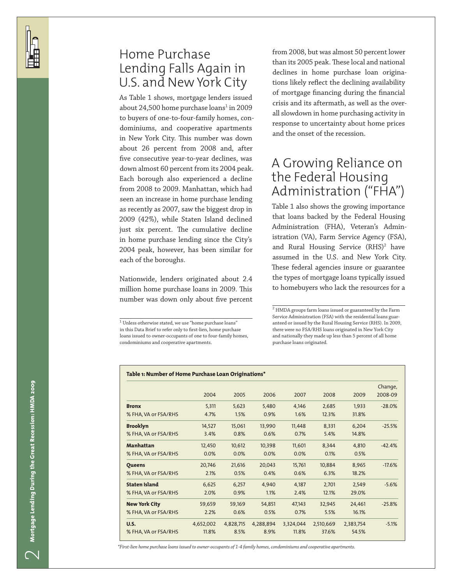### Home Purchase Lending Falls Again in U.S. and New York City

As Table 1 shows, mortgage lenders issued about 24,500 home purchase loans<sup>1</sup> in 2009 to buyers of one-to-four-family homes, con dominiums, and cooperative apartments in New York City. This number was down about 26 percent from 2008 and, after five consecutive year-to-year declines, was down almost 60 percent from its 2004 peak. Each borough also experienced a decline from 2008 to 2009. Manhattan, which had seen an increase in home purchase lending as recently as 2007, saw the biggest drop in 2009 (42%), while Staten Island declined just six percent. The cumulative decline in home purchase lending since the City's 2004 peak, however, has been similar for each of the boroughs.

Nationwide, lenders originated about 2.4 million home purchase loans in 2009. This number was down only about five percent

 $^{\rm 1}$  Unless otherwise stated, we use "home purchase loans" in this Data Brief to refer only to first-lien, home purchase loans issued to owner-occupants of one to four-family homes, condominiums and cooperative apartments.

from 2008, but was almost 50 percent lower than its 2005 peak. These local and national declines in home purchase loan origina tions likely reflect the declining availability of mortgage financing during the financial crisis and its aftermath, as well as the over all slowdown in home purchasing activity in response to uncertainty about home prices and the onset of the recession.

### A Growing Reliance on the Federal Housing Administration ("FHA")

Table 1 also shows the growing importance that loans backed by the Federal Housing Administration (FHA), Veteran's Admin istration (VA), Farm Service Agency (FSA), and Rural Housing Service (RHS) 2 have assumed in the U.S. and New York City. These federal agencies insure or guarantee the types of mortgage loans typically issued to homebuyers who lack the resources for a

 $2$  HMDA groups farm loans issued or guaranteed by the Farm Service Administration (FSA) with the residential loans guar anteed or issued by the Rural Housing Service (RHS). In 2009, there were no FSA/RHS loans originated in New York City and nationally they made up less than 5 percent of all home purchase loans originated.

| Table 1: Number of Home Purchase Loan Originations* |           |           |           |           |           |           |          |
|-----------------------------------------------------|-----------|-----------|-----------|-----------|-----------|-----------|----------|
|                                                     |           |           |           |           |           |           | Change,  |
|                                                     | 2004      | 2005      | 2006      | 2007      | 2008      | 2009      | 2008-09  |
| <b>Bronx</b>                                        | 5,311     | 5,623     | 5,480     | 4,146     | 2,685     | 1,933     | $-28.0%$ |
| % FHA, VA or FSA/RHS                                | 4.7%      | 1.5%      | 0.9%      | 1.6%      | 12.3%     | 31.8%     |          |
| <b>Brooklyn</b>                                     | 14,527    | 15,061    | 13,990    | 11,448    | 8,331     | 6,204     | $-25.5%$ |
| % FHA, VA or FSA/RHS                                | 3.4%      | 0.8%      | 0.6%      | 0.7%      | 5.4%      | 14.8%     |          |
| <b>Manhattan</b>                                    | 12,450    | 10,612    | 10,398    | 11,601    | 8,344     | 4,810     | $-42.4%$ |
| % FHA, VA or FSA/RHS                                | 0.0%      | 0.0%      | 0.0%      | 0.0%      | 0.1%      | 0.5%      |          |
| <b>Queens</b>                                       | 20,746    | 21,616    | 20,043    | 15,761    | 10,884    | 8,965     | $-17.6%$ |
| % FHA, VA or FSA/RHS                                | 2.1%      | 0.5%      | 0.4%      | 0.6%      | 6.3%      | 18.2%     |          |
| <b>Staten Island</b>                                | 6,625     | 6,257     | 4,940     | 4,187     | 2.701     | 2,549     | $-5.6%$  |
| % FHA, VA or FSA/RHS                                | 2.0%      | 0.9%      | 1.1%      | 2.4%      | 12.1%     | 29.0%     |          |
| <b>New York City</b>                                | 59,659    | 59,169    | 54,851    | 47,143    | 32,945    | 24,461    | $-25.8%$ |
| % FHA, VA or FSA/RHS                                | 2.2%      | 0.6%      | 0.5%      | 0.7%      | 5.5%      | 16.1%     |          |
| <b>U.S.</b>                                         | 4,652,002 | 4,828,715 | 4,288,894 | 3,324,044 | 2,510,669 | 2,383,754 | $-5.1%$  |
| % FHA, VA or FSA/RHS                                | 11.8%     | 8.5%      | 8.9%      | 11.8%     | 37.6%     | 54.5%     |          |

*\*First-lien home purchase loans issued to owner-occupants of 1-4 family homes, condominiums and cooperative apartments.*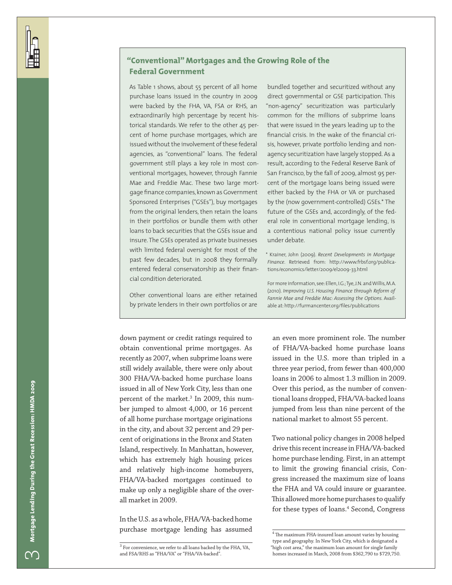### **"Conventional" Mortgages and the Growing Role of the Federal Government**

As Table 1 shows, about 55 percent of all home purchase loans issued in the country in 2009 were backed by the FHA, VA, FSA or RHS, an extraordinarily high percentage by recent historical standards. We refer to the other 45 percent of home purchase mortgages, which are issued without the involvement of these federal agencies, as "conventional" loans. The federal government still plays a key role in most conventional mortgages, however, through Fannie Mae and Freddie Mac. These two large mortgage finance companies, known as Government Sponsored Enterprises ("GSEs"), buy mortgages from the original lenders, then retain the loans in their portfolios or bundle them with other loans to back securities that the GSEs issue and insure. The GSEs operated as private businesses with limited federal oversight for most of the past few decades, but in 2008 they formally entered federal conservatorship as their financial condition deteriorated.

Other conventional loans are either retained by private lenders in their own portfolios or are

bundled together and securitized without any direct governmental or GSE participation. This "non-agency" securitization was particularly common for the millions of subprime loans that were issued in the years leading up to the financial crisis. In the wake of the financial crisis, however, private portfolio lending and nonagency securitization have largely stopped. As a result, according to the Federal Reserve Bank of San Francisco, by the fall of 2009, almost 95 percent of the mortgage loans being issued were either backed by the FHA or VA or purchased by the (now government-controlled) GSEs.\* The future of the GSEs and, accordingly, of the federal role in conventional mortgage lending, is a contentious national policy issue currently under debate.

\* Krainer, John (2009). *Recent Developments in Mortgage Finance*. Retrieved from: http://www.frbsf.org/publications/economics/letter/2009/el2009-33.html

For more information, see: Ellen, I.G.; Tye, J.N. and Willis, M.A. (2010). *Improving U.S. Housing Finance through Reform of Fannie Mae and Freddie Mac: Assessing the Options.* Available at: http://furmancenter.org/files/publications

down payment or credit ratings required to obtain conventional prime mortgages. As recently as 2007, when subprime loans were still widely available, there were only about 300 FHA/VA-backed home purchase loans issued in all of New York City, less than one percent of the market.<sup>3</sup> In 2009, this number jumped to almost 4,000, or 16 percent of all home purchase mortgage originations in the city, and about 32 percent and 29 percent of originations in the Bronx and Staten Island, respectively. In Manhattan, however, which has extremely high housing prices and relatively high-income homebuyers, FHA/VA-backed mortgages continued to make up only a negligible share of the overall market in 2009.

In the U.S. as a whole, FHA/VA-backed home purchase mortgage lending has assumed an even more prominent role. The number of FHA/VA-backed home purchase loans issued in the U.S. more than tripled in a three year period, from fewer than 400,000 loans in 2006 to almost 1.3 million in 2009. Over this period, as the number of conventional loans dropped, FHA/VA-backed loans jumped from less than nine percent of the national market to almost 55 percent.

Two national policy changes in 2008 helped drive this recent increase in FHA/VA-backed home purchase lending. First, in an attempt to limit the growing financial crisis, Congress increased the maximum size of loans the FHA and VA could insure or guarantee. This allowed more home purchases to qualify for these types of loans.<sup>4</sup> Second, Congress

 $3$  For convenience, we refer to all loans backed by the FHA, VA, and FSA/RHS as "FHA/VA" or "FHA/VA-backed".

 $^4$  The maximum FHA-insured loan amount varies by housing type and geography. In New York City, which is designated a "high cost area," the maximum loan amount for single family homes increased in March, 2008 from \$362,790 to \$729,750.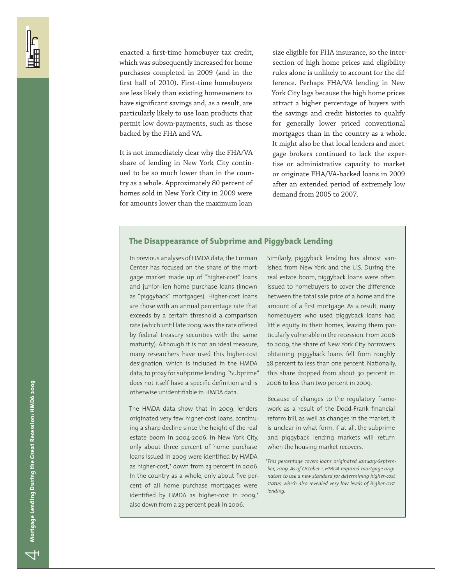enacted a first-time homebuyer tax credit, which was subsequently increased for home purchases completed in 2009 (and in the first half of 2010). First-time homebuyers are less likely than existing homeowners to have significant savings and, as a result, are particularly likely to use loan products that permit low down-payments, such as those backed by the FHA and VA.

It is not immediately clear why the FHA/VA share of lending in New York City continued to be so much lower than in the country as a whole. Approximately 80 percent of homes sold in New York City in 2009 were for amounts lower than the maximum loan

size eligible for FHA insurance, so the intersection of high home prices and eligibility rules alone is unlikely to account for the difference. Perhaps FHA/VA lending in New York City lags because the high home prices attract a higher percentage of buyers with the savings and credit histories to qualify for generally lower priced conventional mortgages than in the country as a whole. It might also be that local lenders and mortgage brokers continued to lack the expertise or administrative capacity to market or originate FHA/VA-backed loans in 2009 after an extended period of extremely low demand from 2005 to 2007.

#### **The Disappearance of Subprime and Piggyback Lending**

In previous analyses of HMDA data, the Furman Center has focused on the share of the mortgage market made up of "higher-cost" loans and junior-lien home purchase loans (known as "piggyback" mortgages). Higher-cost loans are those with an annual percentage rate that exceeds by a certain threshold a comparison rate (which until late 2009, was the rate offered by federal treasury securities with the same maturity). Although it is not an ideal measure, many researchers have used this higher-cost designation, which is included in the HMDA data, to proxy for subprime lending. "Subprime" does not itself have a specific definition and is otherwise unidentifiable in HMDA data.

The HMDA data show that in 2009, lenders originated very few higher-cost loans, continuing a sharp decline since the height of the real estate boom in 2004-2006. In New York City, only about three percent of home purchase loans issued in 2009 were identified by HMDA as higher-cost,\* down from 23 percent in 2006. In the country as a whole, only about five percent of all home purchase mortgages were identified by HMDA as higher-cost in 2009,\* also down from a 23 percent peak in 2006.

Similarly, piggyback lending has almost vanished from New York and the U.S. During the real estate boom, piggyback loans were often issued to homebuyers to cover the difference between the total sale price of a home and the amount of a first mortgage. As a result, many homebuyers who used piggyback loans had little equity in their homes, leaving them particularly vulnerable in the recession. From 2006 to 2009, the share of New York City borrowers obtaining piggyback loans fell from roughly 28 percent to less than one percent. Nationally, this share dropped from about 30 percent in 2006 to less than two percent in 2009.

Because of changes to the regulatory framework as a result of the Dodd-Frank financial reform bill, as well as changes in the market, it is unclear in what form, if at all, the subprime and piggyback lending markets will return when the housing market recovers.

*\*This percentage covers loans originated January-September, 2009. As of October 1, HMDA required mortgage originators to use a new standard for determining higher-cost status, which also revealed very low levels of higher-cost lending.*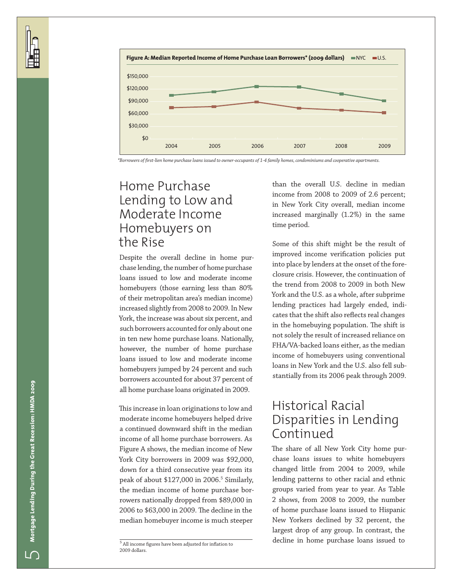

*\*Borrowers of first-lien home purchase loans issued to owner-occupants of 1-4 family homes, condominiums and cooperative apartments.*

### Home Purchase Lending to Low and Moderate Income Homebuyers on the Rise

Despite the overall decline in home pur chase lending, the number of home purchase loans issued to low and moderate income homebuyers (those earning less than 80% of their metropolitan area's median income) increased slightly from 2008 to 2009. In New York, the increase was about six percent, and such borrowers accounted for only about one in ten new home purchase loans. Nationally, however, the number of home purchase loans issued to low and moderate income homebuyers jumped by 24 percent and such borrowers accounted for about 37 percent of all home purchase loans originated in 2009.

This increase in loan originations to low and moderate income homebuyers helped drive a continued downward shift in the median income of all home purchase borrowers. As Figure A shows, the median income of New York City borrowers in 2009 was \$92,000, down for a third consecutive year from its peak of about \$127,000 in 2006. 5 Similarly, the median income of home purchase bor rowers nationally dropped from \$89,000 in 2006 to \$63,000 in 2009. The decline in the median homebuyer income is much steeper 5

than the overall U.S. decline in median income from 2008 to 2009 of 2.6 percent; in New York City overall, median income increased marginally (1.2%) in the same time period.

Some of this shift might be the result of improved income verification policies put into place by lenders at the onset of the fore closure crisis. However, the continuation of the trend from 2008 to 2009 in both New York and the U.S. as a whole, after subprime lending practices had largely ended, indi cates that the shift also reflects real changes in the homebuying population. The shift is not solely the result of increased reliance on FHA/VA-backed loans either, as the median income of homebuyers using conventional loans in New York and the U.S. also fell sub stantially from its 2006 peak through 2009.

### Historical Racial Disparities in Lending Continued

The share of all New York City home pur chase loans issues to white homebuyers changed little from 2004 to 2009, while lending patterns to other racial and ethnic groups varied from year to year. As Table 2 shows, from 2008 to 2009, the number of home purchase loans issued to Hispanic New Yorkers declined by 32 percent, the largest drop of any group. In contrast, the decline in home purchase loans issued to

 $^{\rm 5}$  All income figures have been adjusted for inflation to 2009 dollars.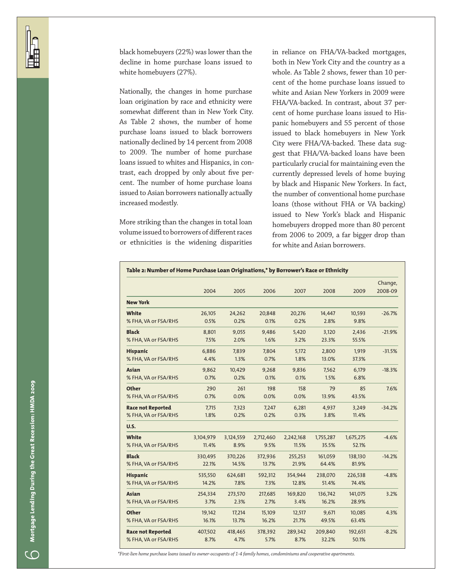black homebuyers (22%) was lower than the decline in home purchase loans issued to white homebuyers (27%).

Nationally, the changes in home purchase loan origination by race and ethnicity were somewhat different than in New York City. As Table 2 shows, the number of home purchase loans issued to black borrowers nationally declined by 14 percent from 2008 to 2009. The number of home purchase loans issued to whites and Hispanics, in contrast, each dropped by only about five percent. The number of home purchase loans issued to Asian borrowers nationally actually increased modestly.

More striking than the changes in total loan volume issued to borrowers of different races or ethnicities is the widening disparities

in reliance on FHA/VA-backed mortgages, both in New York City and the country as a whole. As Table 2 shows, fewer than 10 percent of the home purchase loans issued to white and Asian New Yorkers in 2009 were FHA/VA-backed. In contrast, about 37 percent of home purchase loans issued to Hispanic homebuyers and 55 percent of those issued to black homebuyers in New York City were FHA/VA-backed. These data suggest that FHA/VA-backed loans have been particularly crucial for maintaining even the currently depressed levels of home buying by black and Hispanic New Yorkers. In fact, the number of conventional home purchase loans (those without FHA or VA backing) issued to New York's black and Hispanic homebuyers dropped more than 80 percent from 2006 to 2009, a far bigger drop than for white and Asian borrowers.

|                          |           |           |           |           |           |           | Change,  |
|--------------------------|-----------|-----------|-----------|-----------|-----------|-----------|----------|
|                          | 2004      | 2005      | 2006      | 2007      | 2008      | 2009      | 2008-09  |
| <b>New York</b>          |           |           |           |           |           |           |          |
| White                    | 26,105    | 24,262    | 20,848    | 20,276    | 14,447    | 10,593    | $-26.7%$ |
| % FHA, VA or FSA/RHS     | 0.5%      | 0.2%      | 0.1%      | 0.2%      | 2.8%      | 9.8%      |          |
| <b>Black</b>             | 8,801     | 9,055     | 9,486     | 5,420     | 3,120     | 2,436     | $-21.9%$ |
| % FHA, VA or FSA/RHS     | 7.5%      | 2.0%      | 1.6%      | 3.2%      | 23.3%     | 55.5%     |          |
| <b>Hispanic</b>          | 6,886     | 7,839     | 7,804     | 5,172     | 2,800     | 1,919     | $-31.5%$ |
| % FHA, VA or FSA/RHS     | 4.4%      | 1.3%      | 0.7%      | 1.8%      | 13.0%     | 37.3%     |          |
| <b>Asian</b>             | 9,862     | 10,429    | 9,268     | 9,836     | 7,562     | 6,179     | $-18.3%$ |
| % FHA, VA or FSA/RHS     | 0.7%      | 0.2%      | 0.1%      | 0.1%      | 1.5%      | 6.8%      |          |
| <b>Other</b>             | 290       | 261       | 198       | 158       | 79        | 85        | 7.6%     |
| % FHA, VA or FSA/RHS     | 0.7%      | 0.0%      | 0.0%      | 0.0%      | 13.9%     | 43.5%     |          |
| <b>Race not Reported</b> | 7,715     | 7,323     | 7,247     | 6,281     | 4,937     | 3,249     | $-34.2%$ |
| % FHA, VA or FSA/RHS     | 1.8%      | 0.2%      | 0.2%      | 0.3%      | 3.8%      | 11.4%     |          |
| U.S.                     |           |           |           |           |           |           |          |
| White                    | 3,104,979 | 3,124,559 | 2,712,460 | 2,242,168 | 1,755,287 | 1,675,275 | $-4.6%$  |
| % FHA, VA or FSA/RHS     | 11.4%     | 8.9%      | 9.5%      | 11.5%     | 35.5%     | 52.1%     |          |
| <b>Black</b>             | 330,495   | 370,226   | 372,936   | 255,253   | 161,059   | 138,130   | $-14.2%$ |
| % FHA, VA or FSA/RHS     | 22.1%     | 14.5%     | 13.7%     | 21.9%     | 64.4%     | 81.9%     |          |
| <b>Hispanic</b>          | 535,550   | 624,681   | 592,312   | 354,944   | 238,070   | 226,538   | $-4.8%$  |
| % FHA, VA or FSA/RHS     | 14.2%     | 7.8%      | 7.3%      | 12.8%     | 51.4%     | 74.4%     |          |
| <b>Asian</b>             | 254,334   | 273,570   | 217,685   | 169,820   | 136,742   | 141,075   | 3.2%     |
| % FHA, VA or FSA/RHS     | 3.7%      | 2.3%      | 2.7%      | 3.4%      | 16.2%     | 28.9%     |          |
| <b>Other</b>             | 19,142    | 17,214    | 15,109    | 12,517    | 9,671     | 10,085    | 4.3%     |
| % FHA, VA or FSA/RHS     | 16.1%     | 13.7%     | 16.2%     | 21.7%     | 49.5%     | 63.4%     |          |
| <b>Race not Reported</b> | 407,502   | 418,465   | 378,392   | 289,342   | 209,840   | 192,651   | $-8.2%$  |
| % FHA, VA or FSA/RHS     | 8.7%      | 4.7%      | 5.7%      | 8.7%      | 32.2%     | 50.1%     |          |

*\*First-lien home purchase loans issued to owner-occupants of 1-4 family homes, condominiums and cooperative apartments.*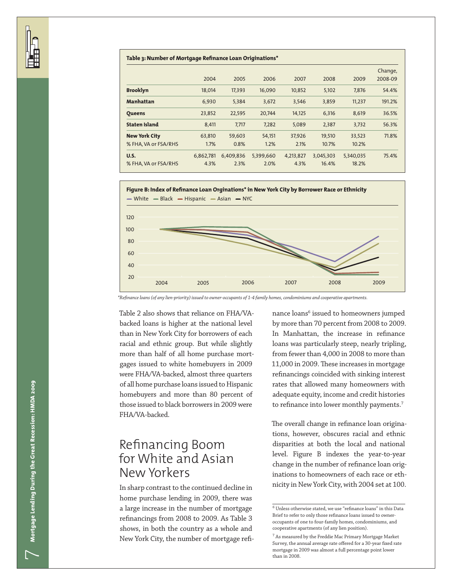| Table 3: Number of Mortgage Refinance Loan Originations* |           |           |           |           |           |           |         |  |  |
|----------------------------------------------------------|-----------|-----------|-----------|-----------|-----------|-----------|---------|--|--|
|                                                          |           |           |           |           |           |           | Change, |  |  |
|                                                          | 2004      | 2005      | 2006      | 2007      | 2008      | 2009      | 2008-09 |  |  |
| <b>Brooklyn</b>                                          | 18.014    | 17,393    | 16.090    | 10,852    | 5,102     | 7.876     | 54.4%   |  |  |
| <b>Manhattan</b>                                         | 6.930     | 5,384     | 3.672     | 3,546     | 3,859     | 11.237    | 191.2%  |  |  |
| <b>Oueens</b>                                            | 23,852    | 22,595    | 20,744    | 14,125    | 6.316     | 8,619     | 36.5%   |  |  |
| <b>Staten Island</b>                                     | 8,411     | 7.717     | 7.282     | 5.089     | 2.387     | 3,732     | 56.3%   |  |  |
| <b>New York City</b>                                     | 63.810    | 59,603    | 54,151    | 37,926    | 19,510    | 33,523    | 71.8%   |  |  |
| % FHA. VA or FSA/RHS                                     | 1.7%      | 0.8%      | 1.2%      | 2.1%      | 10.7%     | 10.2%     |         |  |  |
| <b>U.S.</b>                                              | 6,862,781 | 6.409.836 | 5,399,660 | 4,213,827 | 3,045,303 | 5,340,035 | 75.4%   |  |  |
| % FHA. VA or FSA/RHS                                     | 4.3%      | 2.3%      | 2.0%      | 4.3%      | 16.4%     | 18.2%     |         |  |  |





*\*Refinance loans (of any lien-priority) issued to owner-occupants of 1-4 family homes, condominiums and cooperative apartments.*

Table 2 also shows that reliance on FHA/VAbacked loans is higher at the national level than in New York City for borrowers of each racial and ethnic group. But while slightly more than half of all home purchase mortgages issued to white homebuyers in 2009 120 were FHA/VA-backed, almost three quarters 100 of all home purchase loans issued to Hispanic 80 homebuyers and more than 80 percent of those issued to black borrowers in 2009 were 60 FHA/VA-backed.

### Refinancing Boom for White and Asian New Yorkers

In sharp contrast to the continued decline in home purchase lending in 2009, there was a large increase in the number of mortgage refinancings from 2008 to 2009. As Table 3 shows, in both the country as a whole and New York City, the number of mortgage refi-

nance loans $^6$  issued to homeowners jumped by more than 70 percent from 2008 to 2009. In Manhattan, the increase in refinance loans was particularly steep, nearly tripling, from fewer than 4,000 in 2008 to more than 11,000 in 2009. These increases in mortgage refinancings coincided with sinking interest rates that allowed many homeowners with adequate equity, income and credit histories to refinance into lower monthly payments.<sup>7</sup>

The overall change in refinance loan origina- $\frac{3}{2}$  tions, however, obscures racial and ethnic disparities at both the local and national level. Figure B indexes the year-to-year change in the number of refinance loan originations to homeowners of each race or ethnicity in New York City, with 2004 set at 100.

 $\overline{\phantom{a}}$ 

 $^6$  Unless otherwise stated, we use "refinance loans" in this Data  $\,$ Brief to refer to only those refinance loans issued to owneroccupants of one to four-family homes, condominiums, and cooperative apartments (of any lien position).

 $^7$  As measured by the Freddie Mac Primary Mortgage Market Survey, the annual average rate offered for a 30-year fixed rate mortgage in 2009 was almost a full percentage point lower than in 2008.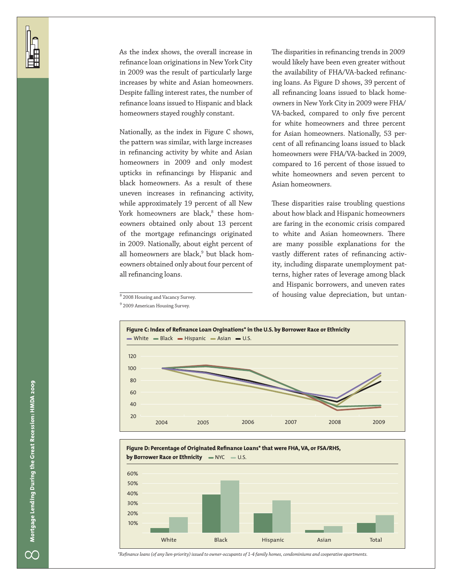As the index shows, the overall increase in refinance loan originations in New York City in 2009 was the result of particularly large increases by white and Asian homeowners. Despite falling interest rates, the number of refinance loans issued to Hispanic and black homeowners stayed roughly constant.

all refinancing loans. eowners obtained only about four percent of 60 in 2009. Nationally, about eight percent of of the mortgage refinancings originated eowners obtained only about 13 percent York homeowners are black,<sup>8</sup> these hom-Nationally, as the index in Figure C shows, the pattern was similar, with large increases in refinancing activity by white and Asian homeowners in 2009 and only modest upticks in refinancings by Hispanic and black homeowners. As a result of these uneven increases in refinancing activity, while approximately 19 percent of all New all homeowners are black, $^9$  but black homThe disparities in refinancing trends in 2009 would likely have been even greater without the availability of FHA/VA-backed refinancing loans. As Figure D shows, 39 percent of all refinancing loans issued to black homeowners in New York City in 2009 were FHA/ VA-backed, compared to only five percent for white homeowners and three percent for Asian homeowners. Nationally, 53 percent of all refinancing loans issued to black homeowners were FHA/VA-backed in 2009, compared to 16 percent of those issued to white homeowners and seven percent to Asian homeowners.

2004 2005 2006 2007 2008 2009 terns, higher rates of leverage among black These disparities raise troubling questions about how black and Hispanic homeowners are faring in the economic crisis compared to white and Asian homeowners. There are many possible explanations for the vastly different rates of refinancing activity, including disparate unemployment patand Hispanic borrowers, and uneven rates of housing value depreciation, but untan-







*\*Refinance loans (of any lien-priority) issued to owner-occupants of 1-4 family homes, condominiums and cooperative apartments.*

 $^8$  2008 Housing and Vacancy Survey. <sup>9</sup> 2009 American Housing Survey.